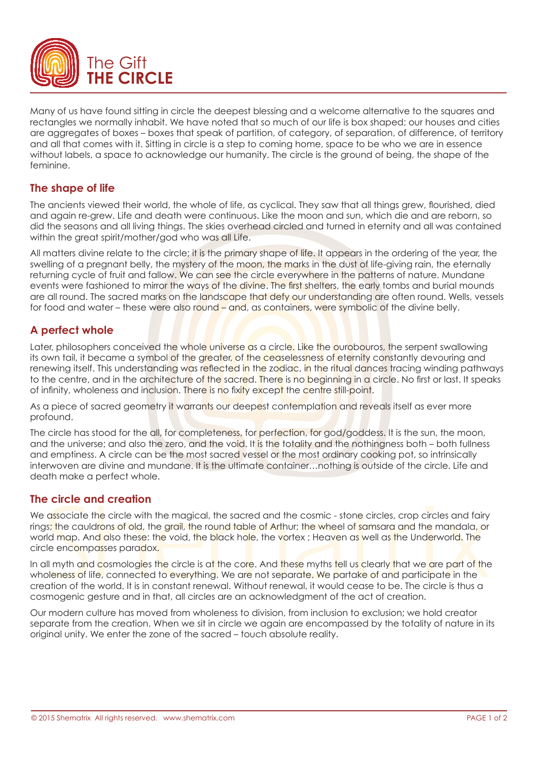

Many of us have found sitting in circle the deepest blessing and a welcome alternative to the squares and rectangles we normally inhabit. We have noted that so much of our life is box shaped; our houses and cities are aggregates of boxes – boxes that speak of partition, of category, of separation, of difference, of territory and all that comes with it. Sitting in circle is a step to coming home, space to be who we are in essence without labels, a space to acknowledge our humanity. The circle is the ground of being, the shape of the feminine.

# **The shape of life**

The ancients viewed their world, the whole of life, as cyclical. They saw that all things grew, flourished, died and again re-grew. Life and death were continuous. Like the moon and sun, which die and are reborn, so did the seasons and all living things. The skies overhead circled and turned in eternity and all was contained within the great spirit/mother/god who was all Life.

All matters divine relate to the circle; it is the primary shape of life. It appears in the ordering of the year, the swelling of a pregnant belly, the mystery of the moon, the marks in the dust of life-giving rain, the eternally returning cycle of fruit and fallow. We can see the circle everywhere in the patterns of nature. Mundane events were fashioned to mirror the ways of the divine. The first shelters, the early tombs and burial mounds are all round. The sacred marks on the landscape that defy our understanding are often round. Wells, vessels for food and water – these were also round – and, as containers, were symbolic of the divine belly.

# **A perfect whole**

Later, philosophers conceived the whole universe as a circle. Like the ourobouros, the serpent swallowing its own tail, it became a symbol of the greater, of the ceaselessness of eternity constantly devouring and renewing itself. This understanding was reflected in the zodiac, in the ritual dances tracing winding pathways to the centre, and in the architecture of the sacred. There is no beginning in a circle. No first or last. It speaks of infinity, wholeness and inclusion. There is no fixity except the centre still-point.

As a piece of sacred geometry it warrants our deepest contemplation and reveals itself as ever more profound.

The circle has stood for the all, for completeness, for perfection, for god/goddess. It is the sun, the moon, and the universe; and also the zero, and the void. It is the totality and the nothingness both – both fullness and emptiness. A circle can be the most sacred vessel or the most ordinary cooking pot, so intrinsically interwoven are divine and mundane. It is the ultimate container…nothing is outside of the circle. Life and death make a perfect whole.

# **The circle and creation**

We associate the circle with the magical, the sacred and the cosmic - stone circles, crop circles and fairy rings; the cauldrons of old, the grail, the round table of Arthur; the wheel of samsara and the mandala, or world map. And also these: the void, the black hole, the vortex ; Heaven as well as the Underworld. The circle encompasses paradox.

In all myth and cosmologies the circle is at the core. And these myths tell us clearly that we are part of the wholeness of life, connected to everything. We are not separate. We partake of and participate in the creation of the world. It is in constant renewal. Without renewal, it would cease to be. The circle is thus a cosmogenic gesture and in that, all circles are an acknowledgment of the act of creation.

Our modern culture has moved from wholeness to division, from inclusion to exclusion; we hold creator separate from the creation. When we sit in circle we again are encompassed by the totality of nature in its original unity. We enter the zone of the sacred – touch absolute reality.